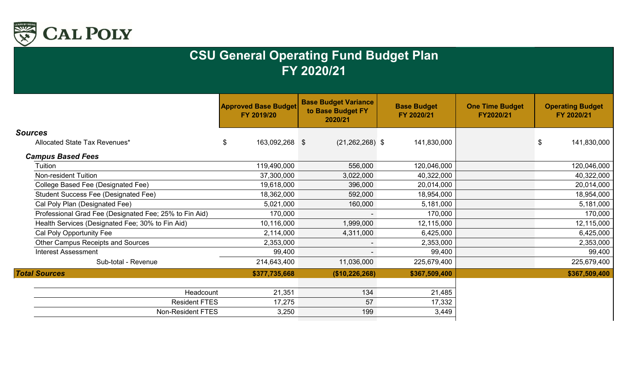

|                                                        | <b>Approved Base Budget</b><br>FY 2019/20 | <b>Base Budget Variance</b><br>to Base Budget FY<br>2020/21 | <b>Base Budget</b><br>FY 2020/21 | <b>One Time Budget</b><br>FY2020/21 | <b>Operating Budget</b><br>FY 2020/21     |
|--------------------------------------------------------|-------------------------------------------|-------------------------------------------------------------|----------------------------------|-------------------------------------|-------------------------------------------|
| <b>Sources</b>                                         |                                           |                                                             |                                  |                                     |                                           |
| Allocated State Tax Revenues*                          | 163,092,268 \$<br>\$                      | $(21, 262, 268)$ \$                                         | 141,830,000                      |                                     | $\boldsymbol{\mathsf{\$}}$<br>141,830,000 |
| <b>Campus Based Fees</b>                               |                                           |                                                             |                                  |                                     |                                           |
| Tuition                                                | 119,490,000                               | 556,000                                                     | 120,046,000                      |                                     | 120,046,000                               |
| <b>Non-resident Tuition</b>                            | 37,300,000                                | 3,022,000                                                   | 40,322,000                       |                                     | 40,322,000                                |
| College Based Fee (Designated Fee)                     | 19,618,000                                | 396,000                                                     | 20,014,000                       |                                     | 20,014,000                                |
| <b>Student Success Fee (Designated Fee)</b>            | 18,362,000                                | 592,000                                                     | 18,954,000                       |                                     | 18,954,000                                |
| Cal Poly Plan (Designated Fee)                         | 5,021,000                                 | 160,000                                                     | 5,181,000                        |                                     | 5,181,000                                 |
| Professional Grad Fee (Designated Fee; 25% to Fin Aid) | 170,000                                   | $\sim$                                                      | 170,000                          |                                     | 170,000                                   |
| Health Services (Designated Fee; 30% to Fin Aid)       | 10,116,000                                | 1,999,000                                                   | 12,115,000                       |                                     | 12,115,000                                |
| Cal Poly Opportunity Fee                               | 2,114,000                                 | 4,311,000                                                   | 6,425,000                        |                                     | 6,425,000                                 |
| <b>Other Campus Receipts and Sources</b>               | 2,353,000                                 | $\overline{\phantom{a}}$                                    | 2,353,000                        |                                     | 2,353,000                                 |
| <b>Interest Assessment</b>                             | 99,400                                    |                                                             | 99,400                           |                                     | 99,400                                    |
| Sub-total - Revenue                                    | 214,643,400                               | 11,036,000                                                  | 225,679,400                      |                                     | 225,679,400                               |
| <b>Total Sources</b>                                   | \$377,735,668                             | (\$10,226,268)                                              | \$367,509,400                    |                                     | \$367,509,400                             |
|                                                        |                                           |                                                             |                                  |                                     |                                           |
| Headcount                                              | 21,351                                    | 134                                                         | 21,485                           |                                     |                                           |
| <b>Resident FTES</b>                                   | 17,275                                    | 57                                                          | 17,332                           |                                     |                                           |
| Non-Resident FTES                                      | 3,250                                     | 199                                                         | 3,449                            |                                     |                                           |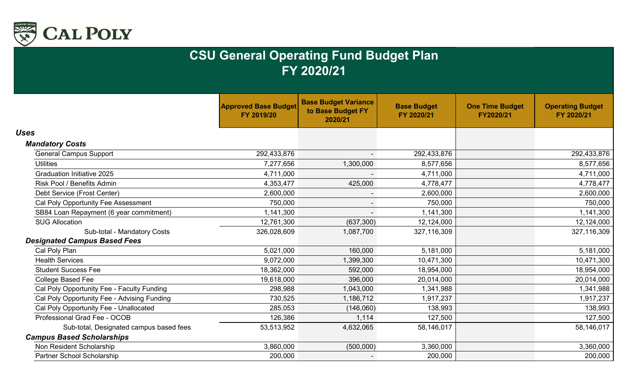

|                                             | <b>Approved Base Budget</b><br>FY 2019/20 | <b>Base Budget Variance</b><br>to Base Budget FY<br>2020/21 | <b>Base Budget</b><br>FY 2020/21 | <b>One Time Budget</b><br>FY2020/21 | <b>Operating Budget</b><br>FY 2020/21 |
|---------------------------------------------|-------------------------------------------|-------------------------------------------------------------|----------------------------------|-------------------------------------|---------------------------------------|
| <b>Uses</b>                                 |                                           |                                                             |                                  |                                     |                                       |
| <b>Mandatory Costs</b>                      |                                           |                                                             |                                  |                                     |                                       |
| <b>General Campus Support</b>               | 292,433,876                               |                                                             | 292,433,876                      |                                     | 292,433,876                           |
| <b>Utilities</b>                            | 7,277,656                                 | 1,300,000                                                   | 8,577,656                        |                                     | 8,577,656                             |
| <b>Graduation Initiative 2025</b>           | 4,711,000                                 |                                                             | 4,711,000                        |                                     | 4,711,000                             |
| <b>Risk Pool / Benefits Admin</b>           | 4,353,477                                 | 425,000                                                     | 4,778,477                        |                                     | 4,778,477                             |
| Debt Service (Frost Center)                 | 2,600,000                                 | $\blacksquare$                                              | 2,600,000                        |                                     | 2,600,000                             |
| Cal Poly Opportunity Fee Assessment         | 750,000                                   | $\sim$                                                      | 750,000                          |                                     | 750,000                               |
| SB84 Loan Repayment (6 year commitment)     | 1,141,300                                 |                                                             | 1,141,300                        |                                     | 1,141,300                             |
| <b>SUG Allocation</b>                       | 12,761,300                                | (637, 300)                                                  | 12,124,000                       |                                     | 12,124,000                            |
| Sub-total - Mandatory Costs                 | 326,028,609                               | 1,087,700                                                   | 327,116,309                      |                                     | 327,116,309                           |
| <b>Designated Campus Based Fees</b>         |                                           |                                                             |                                  |                                     |                                       |
| Cal Poly Plan                               | 5,021,000                                 | 160,000                                                     | 5,181,000                        |                                     | 5,181,000                             |
| <b>Health Services</b>                      | 9,072,000                                 | 1,399,300                                                   | 10,471,300                       |                                     | 10,471,300                            |
| <b>Student Success Fee</b>                  | 18,362,000                                | 592,000                                                     | 18,954,000                       |                                     | 18,954,000                            |
| <b>College Based Fee</b>                    | 19,618,000                                | 396,000                                                     | 20,014,000                       |                                     | 20,014,000                            |
| Cal Poly Opportunity Fee - Faculty Funding  | 298,988                                   | 1,043,000                                                   | 1,341,988                        |                                     | 1,341,988                             |
| Cal Poly Opportunity Fee - Advising Funding | 730,525                                   | 1,186,712                                                   | 1,917,237                        |                                     | 1,917,237                             |
| Cal Poly Opportunity Fee - Unallocated      | 285,053                                   | (146,060)                                                   | 138,993                          |                                     | 138,993                               |
| Professional Grad Fee - OCOB                | 126,386                                   | 1,114                                                       | 127,500                          |                                     | 127,500                               |
| Sub-total, Designated campus based fees     | 53,513,952                                | 4,632,065                                                   | 58,146,017                       |                                     | 58,146,017                            |
| <b>Campus Based Scholarships</b>            |                                           |                                                             |                                  |                                     |                                       |
| Non Resident Scholarship                    | 3,860,000                                 | (500,000)                                                   | 3,360,000                        |                                     | 3,360,000                             |
| Partner School Scholarship                  | 200,000                                   |                                                             | 200,000                          |                                     | 200,000                               |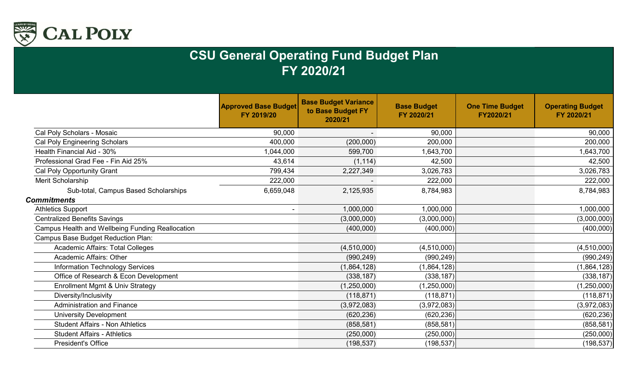

|                                                  | <b>Approved Base Budget</b><br>FY 2019/20 | <b>Base Budget Variance</b><br>to Base Budget FY<br>2020/21 | <b>Base Budget</b><br>FY 2020/21 | <b>One Time Budget</b><br>FY2020/21 | <b>Operating Budget</b><br>FY 2020/21 |
|--------------------------------------------------|-------------------------------------------|-------------------------------------------------------------|----------------------------------|-------------------------------------|---------------------------------------|
| Cal Poly Scholars - Mosaic                       | 90,000                                    |                                                             | 90,000                           |                                     | 90,000                                |
| Cal Poly Engineering Scholars                    | 400,000                                   | (200,000)                                                   | 200,000                          |                                     | 200,000                               |
| Health Financial Aid - 30%                       | 1,044,000                                 | 599,700                                                     | 1,643,700                        |                                     | 1,643,700                             |
| Professional Grad Fee - Fin Aid 25%              | 43,614                                    | (1, 114)                                                    | 42,500                           |                                     | 42,500                                |
| Cal Poly Opportunity Grant                       | 799,434                                   | 2,227,349                                                   | 3,026,783                        |                                     | 3,026,783                             |
| Merit Scholarship                                | 222,000                                   |                                                             | 222,000                          |                                     | 222,000                               |
| Sub-total, Campus Based Scholarships             | 6,659,048                                 | 2,125,935                                                   | 8,784,983                        |                                     | 8,784,983                             |
| <b>Commitments</b>                               |                                           |                                                             |                                  |                                     |                                       |
| <b>Athletics Support</b>                         |                                           | 1,000,000                                                   | 1,000,000                        |                                     | 1,000,000                             |
| <b>Centralized Benefits Savings</b>              |                                           | (3,000,000)                                                 | (3,000,000)                      |                                     | (3,000,000)                           |
| Campus Health and Wellbeing Funding Reallocation |                                           | (400,000)                                                   | (400,000)                        |                                     | (400,000)                             |
| Campus Base Budget Reduction Plan:               |                                           |                                                             |                                  |                                     |                                       |
| <b>Academic Affairs: Total Colleges</b>          |                                           | (4,510,000)                                                 | (4,510,000)                      |                                     | (4,510,000)                           |
| Academic Affairs: Other                          |                                           | (990, 249)                                                  | (990, 249)                       |                                     | (990, 249)                            |
| <b>Information Technology Services</b>           |                                           | (1,864,128)                                                 | (1,864,128)                      |                                     | (1,864,128)                           |
| Office of Research & Econ Development            |                                           | (338, 187)                                                  | (338, 187)                       |                                     | (338, 187)                            |
| Enrollment Mgmt & Univ Strategy                  |                                           | (1,250,000)                                                 | (1,250,000)                      |                                     | (1,250,000)                           |
| Diversity/Inclusivity                            |                                           | (118, 871)                                                  | (118, 871)                       |                                     | (118, 871)                            |
| <b>Administration and Finance</b>                |                                           | (3,972,083)                                                 | (3,972,083)                      |                                     | (3,972,083)                           |
| <b>University Development</b>                    |                                           | (620, 236)                                                  | (620, 236)                       |                                     | (620, 236)                            |
| <b>Student Affairs - Non Athletics</b>           |                                           | (858, 581)                                                  | (858, 581)                       |                                     | (858, 581)                            |
| <b>Student Affairs - Athletics</b>               |                                           | (250,000)                                                   | (250,000)                        |                                     | (250,000)                             |
| <b>President's Office</b>                        |                                           | (198, 537)                                                  | (198, 537)                       |                                     | (198, 537)                            |